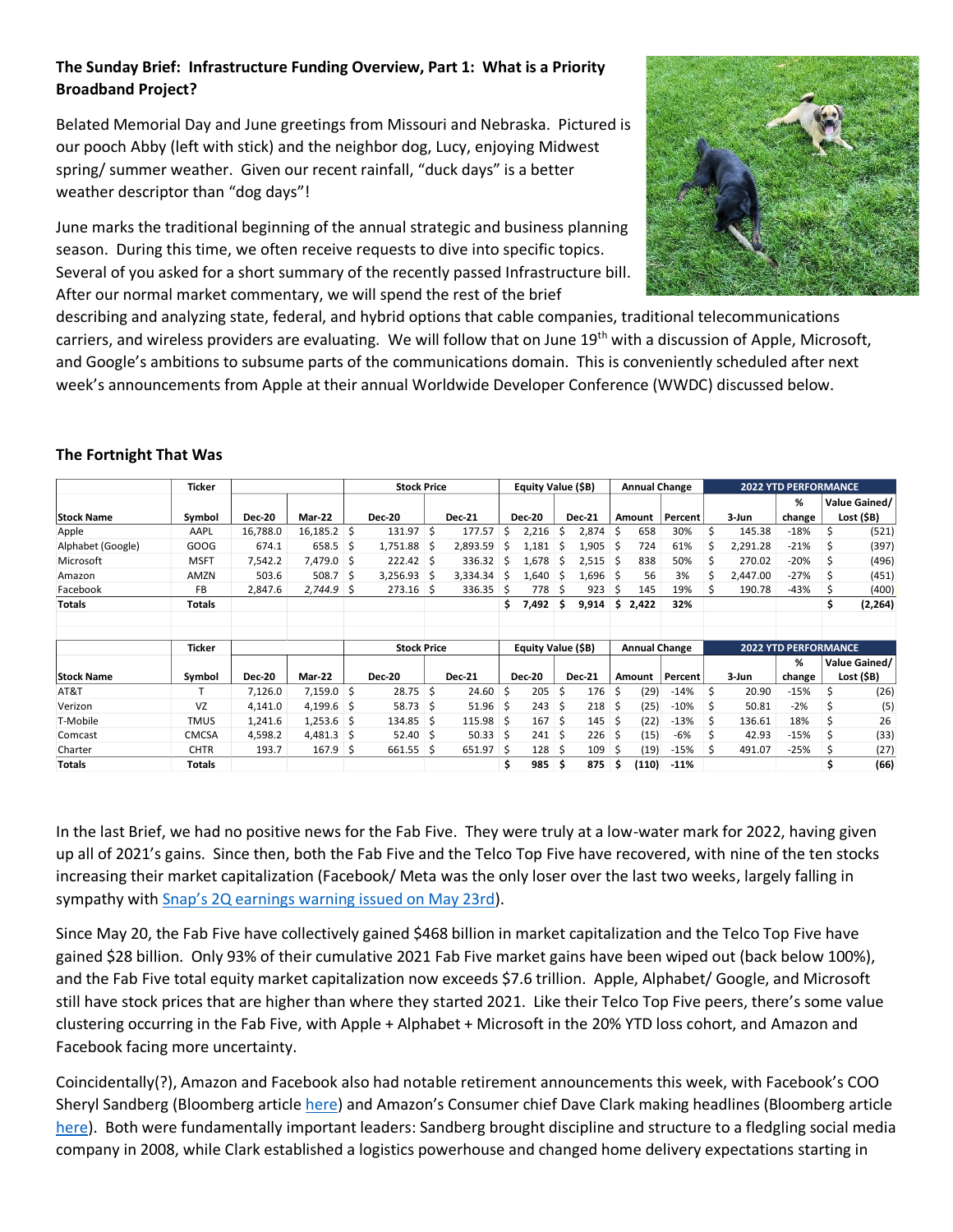## **The Sunday Brief: Infrastructure Funding Overview, Part 1: What is a Priority Broadband Project?**

Belated Memorial Day and June greetings from Missouri and Nebraska. Pictured is our pooch Abby (left with stick) and the neighbor dog, Lucy, enjoying Midwest spring/ summer weather. Given our recent rainfall, "duck days" is a better weather descriptor than "dog days"!

June marks the traditional beginning of the annual strategic and business planning season. During this time, we often receive requests to dive into specific topics. Several of you asked for a short summary of the recently passed Infrastructure bill. After our normal market commentary, we will spend the rest of the brief



describing and analyzing state, federal, and hybrid options that cable companies, traditional telecommunications carriers, and wireless providers are evaluating. We will follow that on June  $19<sup>th</sup>$  with a discussion of Apple, Microsoft, and Google's ambitions to subsume parts of the communications domain. This is conveniently scheduled after next week's announcements from Apple at their annual Worldwide Developer Conference (WWDC) discussed below.

## **The Fortnight That Was**

|                   | <b>Ticker</b> |               |               | <b>Stock Price</b> |                    |              |               | Equity Value (\$B) |                    |   | <b>Annual Change</b> |    |                      | <b>2022 YTD PERFORMANCE</b> |    |          |                             |    |               |
|-------------------|---------------|---------------|---------------|--------------------|--------------------|--------------|---------------|--------------------|--------------------|---|----------------------|----|----------------------|-----------------------------|----|----------|-----------------------------|----|---------------|
|                   |               |               |               |                    |                    |              |               |                    |                    |   |                      |    |                      |                             |    |          | %                           |    | Value Gained/ |
| <b>Stock Name</b> | Symbol        | <b>Dec-20</b> | Mar-22        |                    | <b>Dec-20</b>      |              | <b>Dec-21</b> |                    | <b>Dec-20</b>      |   | <b>Dec-21</b>        |    | Amount               | Percent                     |    | 3-Jun    | change                      |    | Lost (\$B)    |
| Apple             | AAPL          | 16,788.0      | $16,185.2$ \$ |                    | 131.97             | Ŝ.           | 177.57        | Ś                  | 2,216              | Ŝ | 2,874                | S  | 658                  | 30%                         | \$ | 145.38   | $-18%$                      | \$ | (521)         |
| Alphabet (Google) | GOOG          | 674.1         | 658.5         | -S                 | 1,751.88           | <sub>S</sub> | 2,893.59      | Ś                  | 1,181              | S | 1,905                | S  | 724                  | 61%                         | S  | 2,291.28 | $-21%$                      |    | (397)         |
| Microsoft         | <b>MSFT</b>   | 7,542.2       | 7,479.0       | -S                 | 222.42             | -S           | 336.32        | S.                 | 1,678              | S | 2,515                | S. | 838                  | 50%                         |    | 270.02   | $-20%$                      |    | (496)         |
| Amazon            | AMZN          | 503.6         | 508.7         | -S                 | 3,256.93           | -S           | 3,334.34      | S                  | 1,640              | S | 1,696                | S  | 56                   | 3%                          | Ś  | 2.447.00 | $-27%$                      |    | (451)         |
| Facebook          | FB.           | 2,847.6       | 2,744.9       | S                  | 273.16             | S            | 336.35        | Ŝ                  | 778                | S | 923                  | S  | 145                  | 19%                         |    | 190.78   | $-43%$                      |    | (400)         |
| <b>Totals</b>     | <b>Totals</b> |               |               |                    |                    |              |               | Ś.                 | 7,492              | S | 9,914                | \$ | 2,422                | 32%                         |    |          |                             | \$ | (2, 264)      |
|                   | Ticker        |               |               |                    | <b>Stock Price</b> |              |               |                    | Equity Value (\$B) |   |                      |    | <b>Annual Change</b> |                             |    |          | <b>2022 YTD PERFORMANCE</b> |    |               |
|                   |               |               |               |                    |                    |              |               |                    |                    |   |                      |    |                      |                             |    |          | %                           |    | Value Gained/ |
| <b>Stock Name</b> | Symbol        | <b>Dec-20</b> | <b>Mar-22</b> |                    | <b>Dec-20</b>      |              | <b>Dec-21</b> |                    | <b>Dec-20</b>      |   | <b>Dec-21</b>        |    | Amount               | Percent                     |    | 3-Jun    | change                      |    | Lost (\$B)    |
| AT&T              |               | 7,126.0       | $7,159.0$ \$  |                    | 28.75              | Ŝ            | 24.60         | Ŝ                  | 205                | Ŝ | 176                  | Ś  | (29)                 | $-14%$                      | Ś  | 20.90    | -15%                        | Ŝ  | (26)          |
| Verizon           | VZ            | 4,141.0       | 4,199.6       | S                  | 58.73              | Ŝ            | 51.96         | Ŝ                  | 243                | Ś | 218                  | S  | (25)                 | $-10%$                      | S  | 50.81    | $-2%$                       |    | (5)           |
| T-Mobile          | <b>TMUS</b>   | 1,241.6       | $1,253.6$ \$  |                    | 134.85             | <sub>S</sub> | 115.98 \$     |                    | 167                | Ŝ | 145                  | S  | (22)                 | $-13%$                      | Ŝ. | 136.61   | 18%                         |    | 26            |
| Comcast           | <b>CMCSA</b>  | 4,598.2       | 4,481.3       | -S                 | 52.40              | -S           | 50.33         | .s                 | 241                | Ŝ | 226                  | S  | (15)                 | -6%                         | \$ | 42.93    | $-15%$                      |    | (33)          |
| Charter           | <b>CHTR</b>   | 193.7         | 167.9         | -Ś                 | 661.55             | -S           | 651.97 \$     |                    | 128                | S | 109                  | ς  | (19)                 | $-15%$                      | S  | 491.07   | $-25%$                      |    | (27)          |
| <b>Totals</b>     | <b>Totals</b> |               |               |                    |                    |              |               |                    | 985                | s | 875                  |    | (110)                | $-11%$                      |    |          |                             |    | (66)          |

In the last Brief, we had no positive news for the Fab Five. They were truly at a low-water mark for 2022, having given up all of 2021's gains. Since then, both the Fab Five and the Telco Top Five have recovered, with nine of the ten stocks increasing their market capitalization (Facebook/ Meta was the only loser over the last two weeks, largely falling in sympathy with Snap's [2Q earnings warning issued on May 23rd\)](https://www.cnbc.com/2022/05/23/snap-shares-fall-as-ceo-says-company-will-miss-revenue-and-earnings-estimates-plans-to-slow-hiring.html).

Since May 20, the Fab Five have collectively gained \$468 billion in market capitalization and the Telco Top Five have gained \$28 billion. Only 93% of their cumulative 2021 Fab Five market gains have been wiped out (back below 100%), and the Fab Five total equity market capitalization now exceeds \$7.6 trillion. Apple, Alphabet/ Google, and Microsoft still have stock prices that are higher than where they started 2021. Like their Telco Top Five peers, there's some value clustering occurring in the Fab Five, with Apple + Alphabet + Microsoft in the 20% YTD loss cohort, and Amazon and Facebook facing more uncertainty.

Coincidentally(?), Amazon and Facebook also had notable retirement announcements this week, with Facebook's COO Sheryl Sandberg (Bloomberg article [here\)](https://www.bloomberg.com/news/articles/2022-06-01/sheryl-sandberg-is-stepping-down-as-meta-s-coo-after-14-years#xj4y7vzkg) and Amazon's Consumer chief Dave Clark making headlines (Bloomberg article [here\)](https://www.bloomberg.com/news/articles/2022-06-03/amazon-consumer-chief-dave-clark-announces-his-departure). Both were fundamentally important leaders: Sandberg brought discipline and structure to a fledgling social media company in 2008, while Clark established a logistics powerhouse and changed home delivery expectations starting in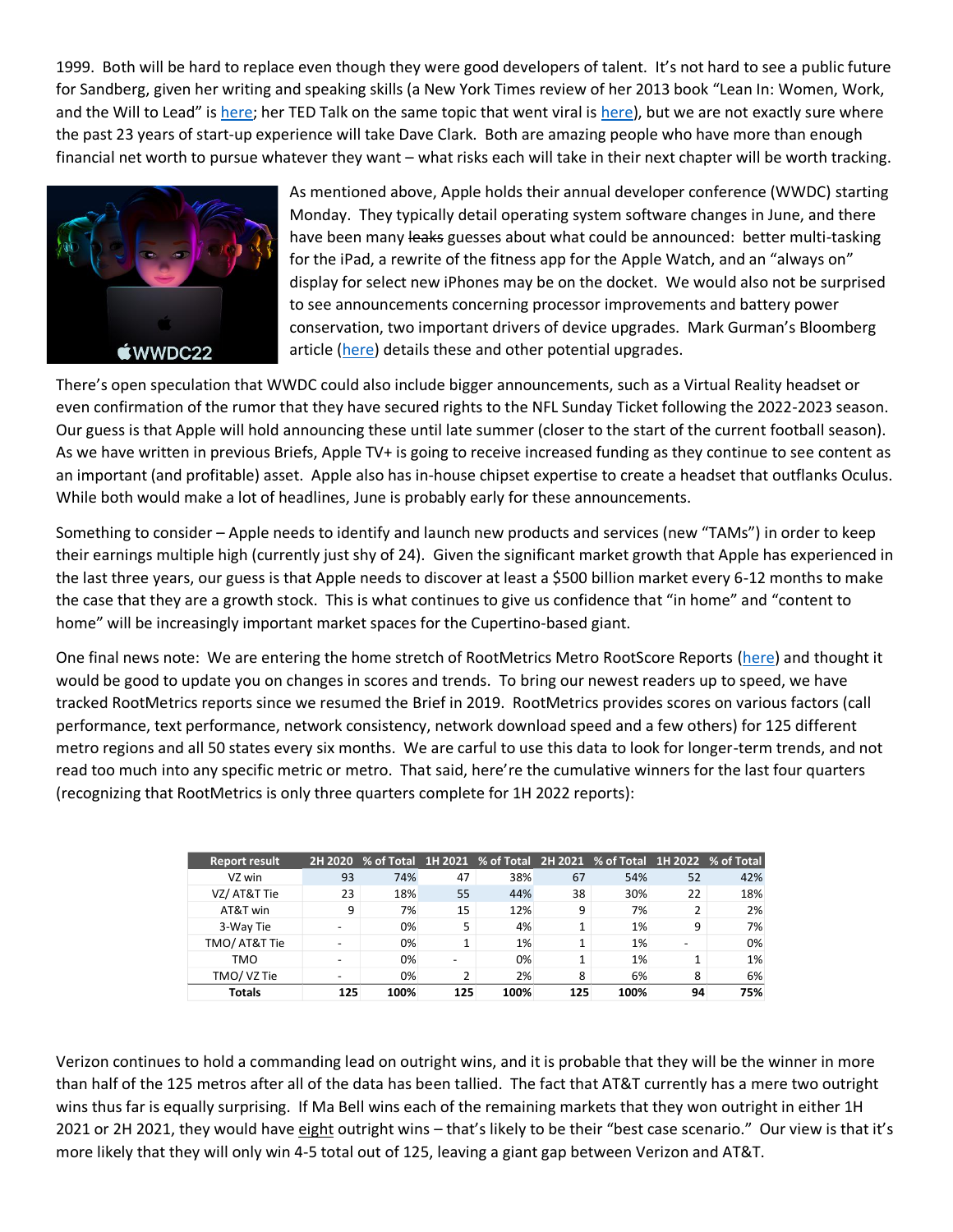1999. Both will be hard to replace even though they were good developers of talent. It's not hard to see a public future for Sandberg, given her writing and speaking skills (a New York Times review of her 2013 book "Lean In: Women, Work, and the Will to Lead" is [here;](https://www.nytimes.com/2013/03/10/books/review/sheryl-sandbergs-lean-in.html) her TED Talk on the same topic that went viral is [here\)](https://www.youtube.com/watch?v=18uDutylDa4), but we are not exactly sure where the past 23 years of start-up experience will take Dave Clark. Both are amazing people who have more than enough financial net worth to pursue whatever they want – what risks each will take in their next chapter will be worth tracking.



As mentioned above, Apple holds their annual developer conference (WWDC) starting Monday. They typically detail operating system software changes in June, and there have been many leaks guesses about what could be announced: better multi-tasking for the iPad, a rewrite of the fitness app for the Apple Watch, and an "always on" display for select new iPhones may be on the docket. We would also not be surprised to see announcements concerning processor improvements and battery power conservation, two important drivers of device upgrades. Mark Gurman's Bloomberg article [\(here\)](https://www.bloomberg.com/news/articles/2022-06-02/apple-to-upgrade-its-ipad-software-in-bid-to-satisfy-pro-users) details these and other potential upgrades.

There's open speculation that WWDC could also include bigger announcements, such as a Virtual Reality headset or even confirmation of the rumor that they have secured rights to the NFL Sunday Ticket following the 2022-2023 season. Our guess is that Apple will hold announcing these until late summer (closer to the start of the current football season). As we have written in previous Briefs, Apple TV+ is going to receive increased funding as they continue to see content as an important (and profitable) asset. Apple also has in-house chipset expertise to create a headset that outflanks Oculus. While both would make a lot of headlines, June is probably early for these announcements.

Something to consider – Apple needs to identify and launch new products and services (new "TAMs") in order to keep their earnings multiple high (currently just shy of 24). Given the significant market growth that Apple has experienced in the last three years, our guess is that Apple needs to discover at least a \$500 billion market every 6-12 months to make the case that they are a growth stock. This is what continues to give us confidence that "in home" and "content to home" will be increasingly important market spaces for the Cupertino-based giant.

One final news note: We are entering the home stretch of RootMetrics Metro RootScore Reports [\(here\)](https://rootmetrics.com/en-US/rootscore/map) and thought it would be good to update you on changes in scores and trends. To bring our newest readers up to speed, we have tracked RootMetrics reports since we resumed the Brief in 2019. RootMetrics provides scores on various factors (call performance, text performance, network consistency, network download speed and a few others) for 125 different metro regions and all 50 states every six months. We are carful to use this data to look for longer-term trends, and not read too much into any specific metric or metro. That said, here're the cumulative winners for the last four quarters (recognizing that RootMetrics is only three quarters complete for 1H 2022 reports):

| <b>Report result</b> |     |      |                |      |     | 2H 2020 % of Total 1H 2021 % of Total 2H 2021 % of Total 1H 2022 % of Total |    |     |
|----------------------|-----|------|----------------|------|-----|-----------------------------------------------------------------------------|----|-----|
| VZ win               | 93  | 74%  | 47             | 38%  | 67  | 54%                                                                         | 52 | 42% |
| VZ/ AT&T Tie         | 23  | 18%  | 55             | 44%  | 38  | 30%                                                                         | 22 | 18% |
| AT&T win             | 9   | 7%   | 15             | 12%  | 9   | 7%                                                                          | 2  | 2%  |
| 3-Way Tie            |     | 0%   | 5              | 4%   |     | 1%                                                                          | 9  | 7%  |
| TMO/ AT&T Tie        |     | 0%   | 1              | 1%   |     | 1%                                                                          |    | 0%  |
| TMO                  |     | 0%   |                | 0%   |     | 1%                                                                          | 1  | 1%  |
| TMO/VZ Tie           |     | 0%   | $\overline{2}$ | 2%   | 8   | 6%                                                                          | 8  | 6%  |
| <b>Totals</b>        | 125 | 100% | 125            | 100% | 125 | 100%                                                                        | 94 | 75% |

Verizon continues to hold a commanding lead on outright wins, and it is probable that they will be the winner in more than half of the 125 metros after all of the data has been tallied. The fact that AT&T currently has a mere two outright wins thus far is equally surprising. If Ma Bell wins each of the remaining markets that they won outright in either 1H 2021 or 2H 2021, they would have eight outright wins - that's likely to be their "best case scenario." Our view is that it's more likely that they will only win 4-5 total out of 125, leaving a giant gap between Verizon and AT&T.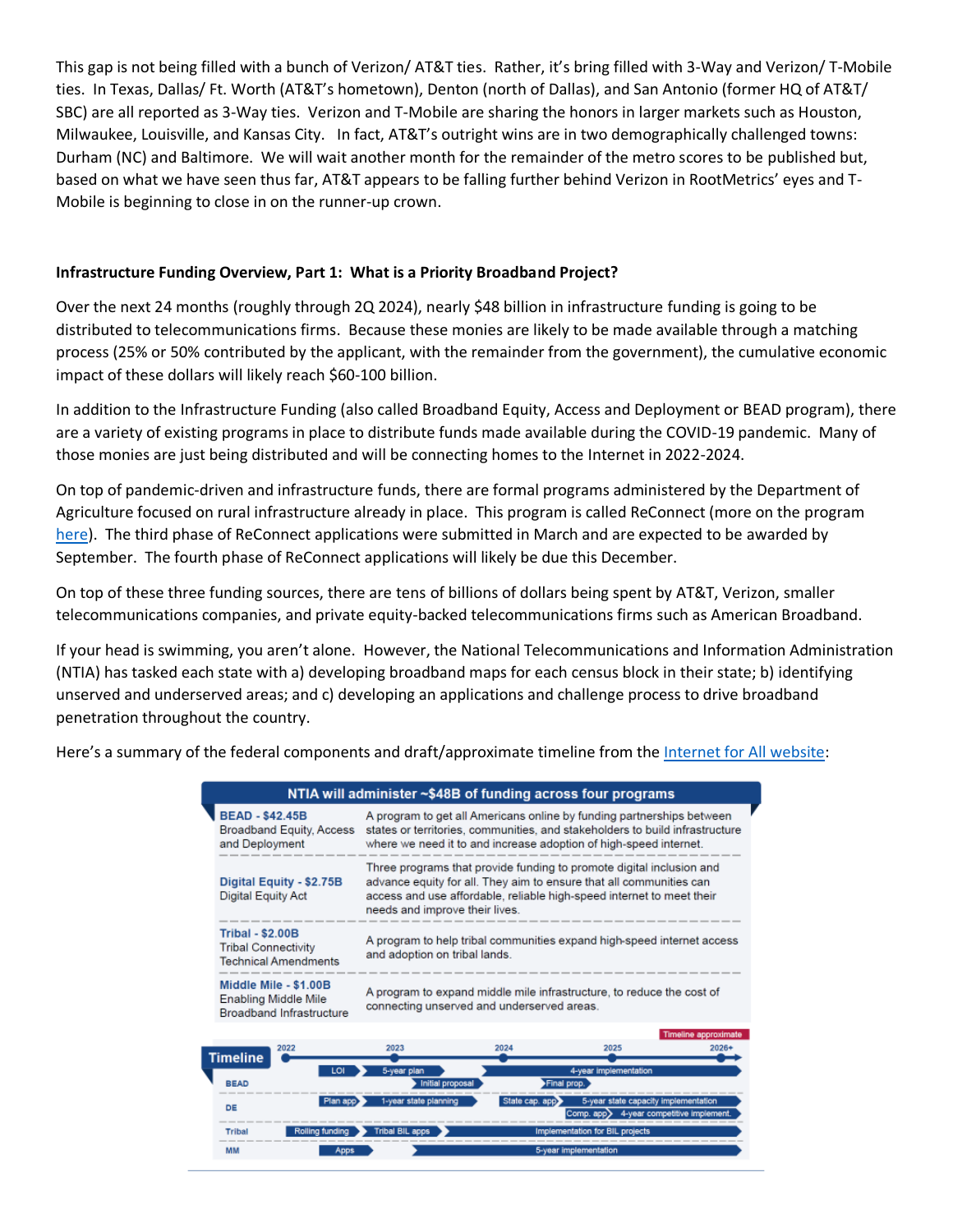This gap is not being filled with a bunch of Verizon/ AT&T ties. Rather, it's bring filled with 3-Way and Verizon/ T-Mobile ties. In Texas, Dallas/ Ft. Worth (AT&T's hometown), Denton (north of Dallas), and San Antonio (former HQ of AT&T/ SBC) are all reported as 3-Way ties. Verizon and T-Mobile are sharing the honors in larger markets such as Houston, Milwaukee, Louisville, and Kansas City. In fact, AT&T's outright wins are in two demographically challenged towns: Durham (NC) and Baltimore. We will wait another month for the remainder of the metro scores to be published but, based on what we have seen thus far, AT&T appears to be falling further behind Verizon in RootMetrics' eyes and T-Mobile is beginning to close in on the runner-up crown.

## **Infrastructure Funding Overview, Part 1: What is a Priority Broadband Project?**

Over the next 24 months (roughly through 2Q 2024), nearly \$48 billion in infrastructure funding is going to be distributed to telecommunications firms. Because these monies are likely to be made available through a matching process (25% or 50% contributed by the applicant, with the remainder from the government), the cumulative economic impact of these dollars will likely reach \$60-100 billion.

In addition to the Infrastructure Funding (also called Broadband Equity, Access and Deployment or BEAD program), there are a variety of existing programs in place to distribute funds made available during the COVID-19 pandemic. Many of those monies are just being distributed and will be connecting homes to the Internet in 2022-2024.

On top of pandemic-driven and infrastructure funds, there are formal programs administered by the Department of Agriculture focused on rural infrastructure already in place. This program is called ReConnect (more on the program [here\)](https://www.usda.gov/reconnect). The third phase of ReConnect applications were submitted in March and are expected to be awarded by September. The fourth phase of ReConnect applications will likely be due this December.

On top of these three funding sources, there are tens of billions of dollars being spent by AT&T, Verizon, smaller telecommunications companies, and private equity-backed telecommunications firms such as American Broadband.

If your head is swimming, you aren't alone. However, the National Telecommunications and Information Administration (NTIA) has tasked each state with a) developing broadband maps for each census block in their state; b) identifying unserved and underserved areas; and c) developing an applications and challenge process to drive broadband penetration throughout the country.

Here's a summary of the federal components and draft/approximate timeline from th[e Internet for All website:](https://www.internetforall.gov/)

|                                                                                  |                                                                                                                                                                                                                                                        |      | NTIA will administer ~\$48B of funding across four programs |                      |  |  |  |  |
|----------------------------------------------------------------------------------|--------------------------------------------------------------------------------------------------------------------------------------------------------------------------------------------------------------------------------------------------------|------|-------------------------------------------------------------|----------------------|--|--|--|--|
| <b>BEAD - \$42.45B</b><br>Broadband Equity, Access<br>and Deployment             | A program to get all Americans online by funding partnerships between<br>states or territories, communities, and stakeholders to build infrastructure<br>where we need it to and increase adoption of high-speed internet.                             |      |                                                             |                      |  |  |  |  |
| Digital Equity - \$2.75B<br>Digital Equity Act                                   | Three programs that provide funding to promote digital inclusion and<br>advance equity for all. They aim to ensure that all communities can<br>access and use affordable, reliable high-speed internet to meet their<br>needs and improve their lives. |      |                                                             |                      |  |  |  |  |
| <b>Tribal - \$2.00B</b><br>Tribal Connectivity<br>Technical Amendments           | A program to help tribal communities expand high-speed internet access<br>and adoption on tribal lands.                                                                                                                                                |      |                                                             |                      |  |  |  |  |
| Middle Mile - \$1,00B<br>Enabling Middle Mile<br><b>Broadband Infrastructure</b> | A program to expand middle mile infrastructure, to reduce the cost of<br>connecting unserved and underserved areas.                                                                                                                                    |      |                                                             |                      |  |  |  |  |
|                                                                                  |                                                                                                                                                                                                                                                        |      |                                                             | Timeline approximate |  |  |  |  |
| 2022<br><b>Timeline</b>                                                          | 2023                                                                                                                                                                                                                                                   | 2024 | 2025                                                        | $2026+$              |  |  |  |  |
| LO<br><b>BEAD</b>                                                                | 5-year plan<br>Initial proposal                                                                                                                                                                                                                        |      | 4-year implementation<br>Final prop.                        |                      |  |  |  |  |

|             | LOI             | 5-year plan           | 4-year implementation                                                                              |
|-------------|-----------------|-----------------------|----------------------------------------------------------------------------------------------------|
| <b>BEAD</b> |                 | Initial proposal      | Final prop.                                                                                        |
| DE          | Plan app        | 1-year state planning | State cap. app<br>5-year state capacity implementation<br>Comp. app> 4-year competitive implement. |
| Tribal      | Rolling funding | Tribal BIL apps       | Implementation for BIL projects                                                                    |
| <b>MM</b>   | <b>Apps</b>     |                       | 5-year implementation                                                                              |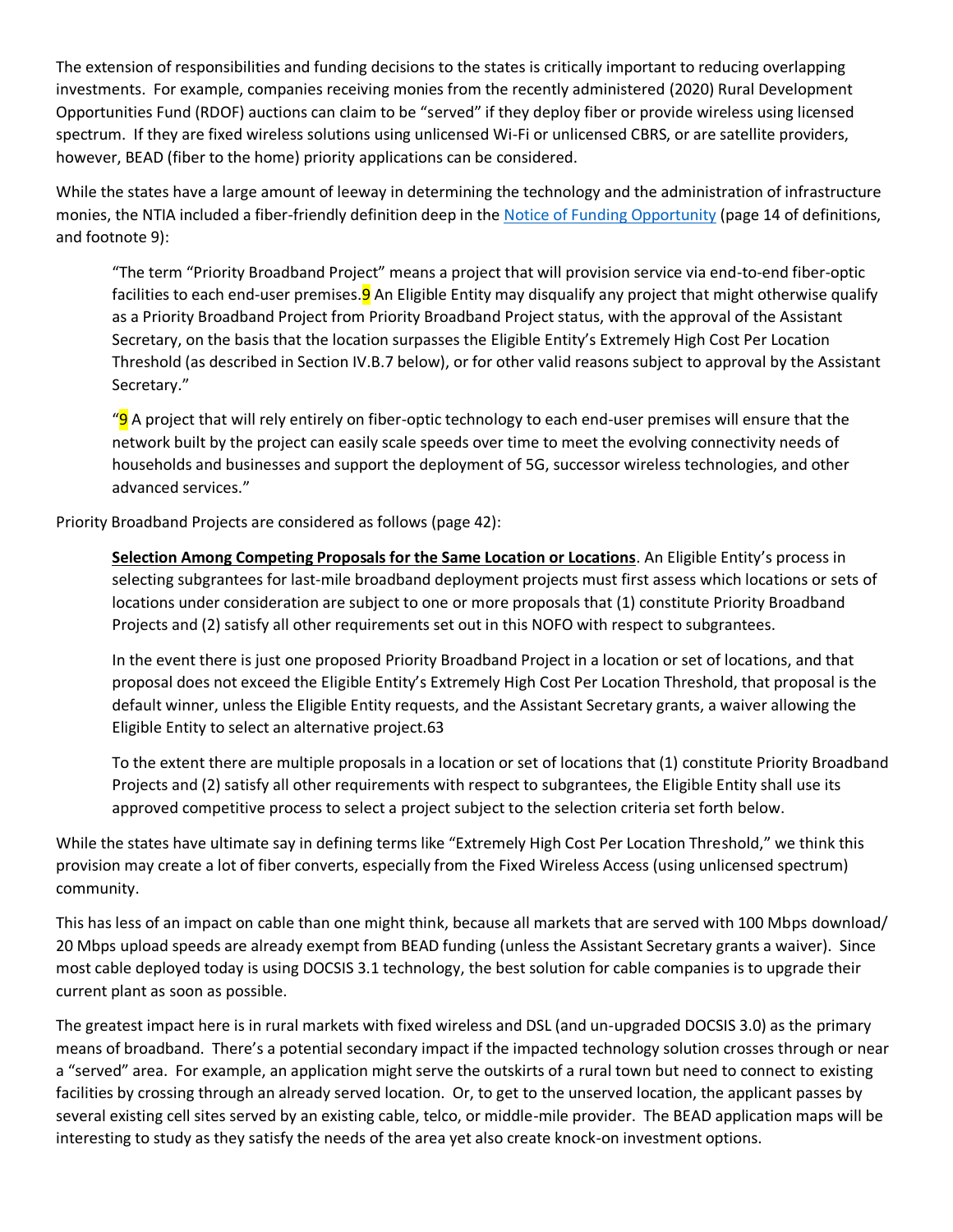The extension of responsibilities and funding decisions to the states is critically important to reducing overlapping investments. For example, companies receiving monies from the recently administered (2020) Rural Development Opportunities Fund (RDOF) auctions can claim to be "served" if they deploy fiber or provide wireless using licensed spectrum. If they are fixed wireless solutions using unlicensed Wi-Fi or unlicensed CBRS, or are satellite providers, however, BEAD (fiber to the home) priority applications can be considered.

While the states have a large amount of leeway in determining the technology and the administration of infrastructure monies, the NTIA included a fiber-friendly definition deep in the [Notice of Funding Opportunity](https://broadbandusa.ntia.doc.gov/broadband-equity-access-and-deployment-bead-program) (page 14 of definitions, and footnote 9):

"The term "Priority Broadband Project" means a project that will provision service via end-to-end fiber-optic facilities to each end-user premises.<sup>9</sup> An Eligible Entity may disqualify any project that might otherwise qualify as a Priority Broadband Project from Priority Broadband Project status, with the approval of the Assistant Secretary, on the basis that the location surpasses the Eligible Entity's Extremely High Cost Per Location Threshold (as described in Section IV.B.7 below), or for other valid reasons subject to approval by the Assistant Secretary."

"**9** A project that will rely entirely on fiber-optic technology to each end-user premises will ensure that the network built by the project can easily scale speeds over time to meet the evolving connectivity needs of households and businesses and support the deployment of 5G, successor wireless technologies, and other advanced services."

Priority Broadband Projects are considered as follows (page 42):

**Selection Among Competing Proposals for the Same Location or Locations**. An Eligible Entity's process in selecting subgrantees for last-mile broadband deployment projects must first assess which locations or sets of locations under consideration are subject to one or more proposals that (1) constitute Priority Broadband Projects and (2) satisfy all other requirements set out in this NOFO with respect to subgrantees.

In the event there is just one proposed Priority Broadband Project in a location or set of locations, and that proposal does not exceed the Eligible Entity's Extremely High Cost Per Location Threshold, that proposal is the default winner, unless the Eligible Entity requests, and the Assistant Secretary grants, a waiver allowing the Eligible Entity to select an alternative project.63

To the extent there are multiple proposals in a location or set of locations that (1) constitute Priority Broadband Projects and (2) satisfy all other requirements with respect to subgrantees, the Eligible Entity shall use its approved competitive process to select a project subject to the selection criteria set forth below.

While the states have ultimate say in defining terms like "Extremely High Cost Per Location Threshold," we think this provision may create a lot of fiber converts, especially from the Fixed Wireless Access (using unlicensed spectrum) community.

This has less of an impact on cable than one might think, because all markets that are served with 100 Mbps download/ 20 Mbps upload speeds are already exempt from BEAD funding (unless the Assistant Secretary grants a waiver). Since most cable deployed today is using DOCSIS 3.1 technology, the best solution for cable companies is to upgrade their current plant as soon as possible.

The greatest impact here is in rural markets with fixed wireless and DSL (and un-upgraded DOCSIS 3.0) as the primary means of broadband. There's a potential secondary impact if the impacted technology solution crosses through or near a "served" area. For example, an application might serve the outskirts of a rural town but need to connect to existing facilities by crossing through an already served location. Or, to get to the unserved location, the applicant passes by several existing cell sites served by an existing cable, telco, or middle-mile provider. The BEAD application maps will be interesting to study as they satisfy the needs of the area yet also create knock-on investment options.